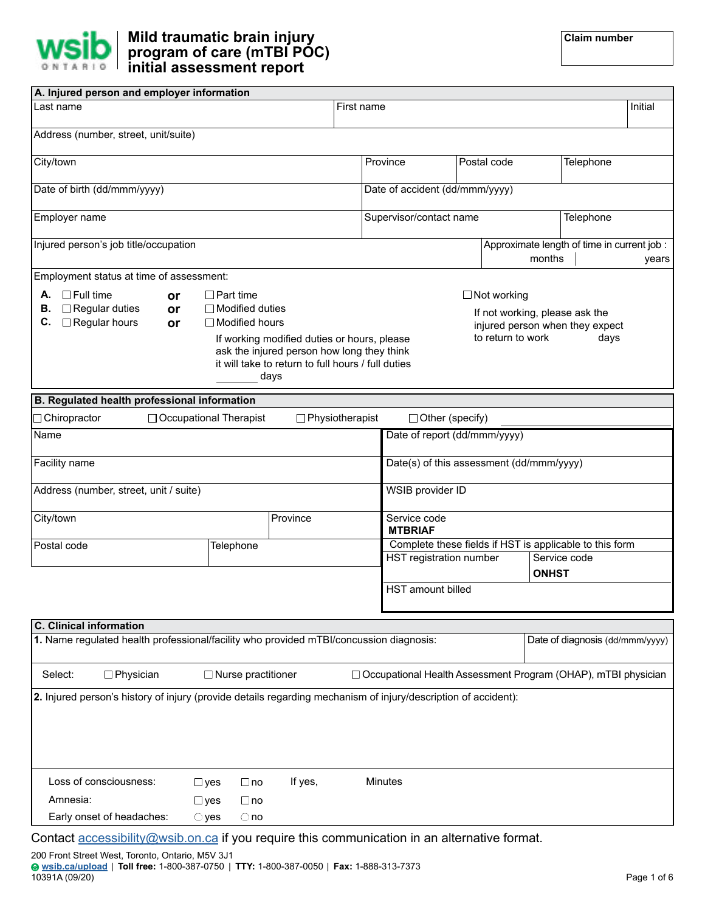

| A. Injured person and employer information                                                                     |                                                                     |                                                                                                                                                         |            |                                                                 |                         |                                                                                                              |                                                       |      |         |
|----------------------------------------------------------------------------------------------------------------|---------------------------------------------------------------------|---------------------------------------------------------------------------------------------------------------------------------------------------------|------------|-----------------------------------------------------------------|-------------------------|--------------------------------------------------------------------------------------------------------------|-------------------------------------------------------|------|---------|
| Last name                                                                                                      |                                                                     |                                                                                                                                                         | First name |                                                                 |                         |                                                                                                              |                                                       |      | Initial |
| Address (number, street, unit/suite)                                                                           |                                                                     |                                                                                                                                                         |            |                                                                 |                         |                                                                                                              |                                                       |      |         |
| City/town                                                                                                      |                                                                     |                                                                                                                                                         |            | Province                                                        |                         | Postal code                                                                                                  | Telephone                                             |      |         |
| Date of birth (dd/mmm/yyyy)                                                                                    |                                                                     |                                                                                                                                                         |            | Date of accident (dd/mmm/yyyy)                                  |                         |                                                                                                              |                                                       |      |         |
| Employer name                                                                                                  |                                                                     |                                                                                                                                                         |            |                                                                 | Supervisor/contact name |                                                                                                              | Telephone                                             |      |         |
| Injured person's job title/occupation                                                                          |                                                                     |                                                                                                                                                         |            |                                                                 |                         |                                                                                                              | Approximate length of time in current job :<br>months |      | years   |
| Employment status at time of assessment:                                                                       |                                                                     |                                                                                                                                                         |            |                                                                 |                         |                                                                                                              |                                                       |      |         |
| $\Box$ Full time<br>А.<br>or<br>$\Box$ Regular duties<br>В.<br>or<br>$\Box$ Regular hours<br>C.<br>or          | $\Box$ Part time<br>$\Box$ Modified duties<br>$\Box$ Modified hours | If working modified duties or hours, please<br>ask the injured person how long they think<br>it will take to return to full hours / full duties<br>days |            |                                                                 |                         | $\Box$ Not working<br>If not working, please ask the<br>injured person when they expect<br>to return to work |                                                       | days |         |
| B. Regulated health professional information                                                                   |                                                                     |                                                                                                                                                         |            |                                                                 |                         |                                                                                                              |                                                       |      |         |
| □ Chiropractor                                                                                                 | $\Box$ Occupational Therapist                                       | $\Box$ Physiotherapist                                                                                                                                  |            | $\Box$ Other (specify)                                          |                         |                                                                                                              |                                                       |      |         |
| Name                                                                                                           |                                                                     |                                                                                                                                                         |            | Date of report (dd/mmm/yyyy)                                    |                         |                                                                                                              |                                                       |      |         |
| Facility name                                                                                                  |                                                                     |                                                                                                                                                         |            | Date(s) of this assessment (dd/mmm/yyyy)                        |                         |                                                                                                              |                                                       |      |         |
| Address (number, street, unit / suite)                                                                         |                                                                     |                                                                                                                                                         |            | WSIB provider ID                                                |                         |                                                                                                              |                                                       |      |         |
| City/town                                                                                                      |                                                                     | Province                                                                                                                                                |            | Service code<br><b>MTBRIAF</b>                                  |                         |                                                                                                              |                                                       |      |         |
| Postal code                                                                                                    | Telephone                                                           |                                                                                                                                                         |            | Complete these fields if HST is applicable to this form         |                         |                                                                                                              |                                                       |      |         |
|                                                                                                                |                                                                     |                                                                                                                                                         |            | HST registration number                                         |                         |                                                                                                              | Service code<br><b>ONHST</b>                          |      |         |
|                                                                                                                |                                                                     |                                                                                                                                                         |            | <b>HST</b> amount billed                                        |                         |                                                                                                              |                                                       |      |         |
| <b>C.</b> Clinical information                                                                                 |                                                                     |                                                                                                                                                         |            |                                                                 |                         |                                                                                                              |                                                       |      |         |
| 1. Name regulated health professional/facility who provided mTBI/concussion diagnosis:                         |                                                                     |                                                                                                                                                         |            |                                                                 |                         |                                                                                                              | Date of diagnosis (dd/mmm/yyyy)                       |      |         |
| Select:<br>$\Box$ Physician                                                                                    | $\Box$ Nurse practitioner                                           |                                                                                                                                                         |            | □ Occupational Health Assessment Program (OHAP), mTBI physician |                         |                                                                                                              |                                                       |      |         |
| 2. Injured person's history of injury (provide details regarding mechanism of injury/description of accident): |                                                                     |                                                                                                                                                         |            |                                                                 |                         |                                                                                                              |                                                       |      |         |
| Loss of consciousness:                                                                                         | $\Box$ yes<br>$\Box$ no                                             | If yes,                                                                                                                                                 |            | <b>Minutes</b>                                                  |                         |                                                                                                              |                                                       |      |         |

|  | Contact <b>accessibility@wsib.on.ca</b> if you require this communication in an alternative format. |  |  |  |  |  |  |
|--|-----------------------------------------------------------------------------------------------------|--|--|--|--|--|--|
|--|-----------------------------------------------------------------------------------------------------|--|--|--|--|--|--|

 $\Box$ no  $\bigcirc$  no

 $\square$  yes  $\bigcirc$  yes

Amnesia:

Early onset of headaches: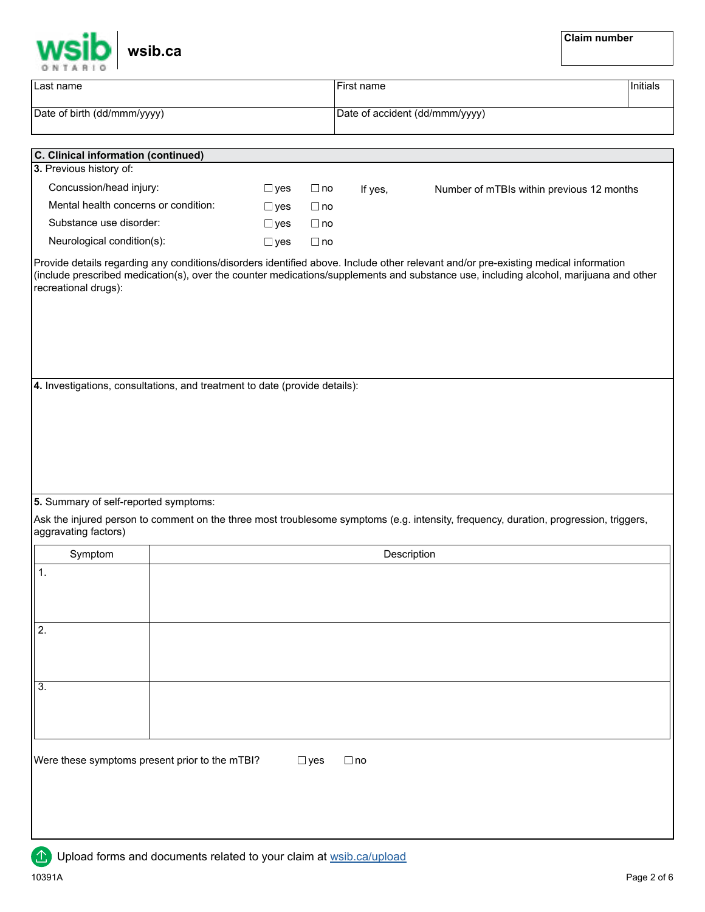| wsib.ca                                                                                                                                                                                                |               |            |            |                                           | <b>Claim number</b> |          |
|--------------------------------------------------------------------------------------------------------------------------------------------------------------------------------------------------------|---------------|------------|------------|-------------------------------------------|---------------------|----------|
| Last name                                                                                                                                                                                              |               |            | First name |                                           |                     | Initials |
| Date of birth (dd/mmm/yyyy)                                                                                                                                                                            |               |            |            | Date of accident (dd/mmm/yyyy)            |                     |          |
|                                                                                                                                                                                                        |               |            |            |                                           |                     |          |
| <b>C. Clinical information (continued)</b><br>3. Previous history of:                                                                                                                                  |               |            |            |                                           |                     |          |
| Concussion/head injury:                                                                                                                                                                                | $\Box$ yes    | $\Box$ no  | If yes,    | Number of mTBIs within previous 12 months |                     |          |
| Mental health concerns or condition:                                                                                                                                                                   | $\Box$ yes    | $\Box$ no  |            |                                           |                     |          |
| Substance use disorder:                                                                                                                                                                                | $\Box$ yes    | $\Box$ no  |            |                                           |                     |          |
| Neurological condition(s):                                                                                                                                                                             | $\square$ yes | $\Box$ no  |            |                                           |                     |          |
| (include prescribed medication(s), over the counter medications/supplements and substance use, including alcohol, marijuana and other<br>recreational drugs):                                          |               |            |            |                                           |                     |          |
| 5. Summary of self-reported symptoms:<br>Ask the injured person to comment on the three most troublesome symptoms (e.g. intensity, frequency, duration, progression, triggers,<br>aggravating factors) |               |            |            |                                           |                     |          |
| Symptom                                                                                                                                                                                                |               |            |            | Description                               |                     |          |
| $\mathbf 1$ .                                                                                                                                                                                          |               |            |            |                                           |                     |          |
| 2.                                                                                                                                                                                                     |               |            |            |                                           |                     |          |
| $\overline{3}$ .                                                                                                                                                                                       |               |            |            |                                           |                     |          |
| Were these symptoms present prior to the mTBI?                                                                                                                                                         |               | $\Box$ yes | $\Box$ no  |                                           |                     |          |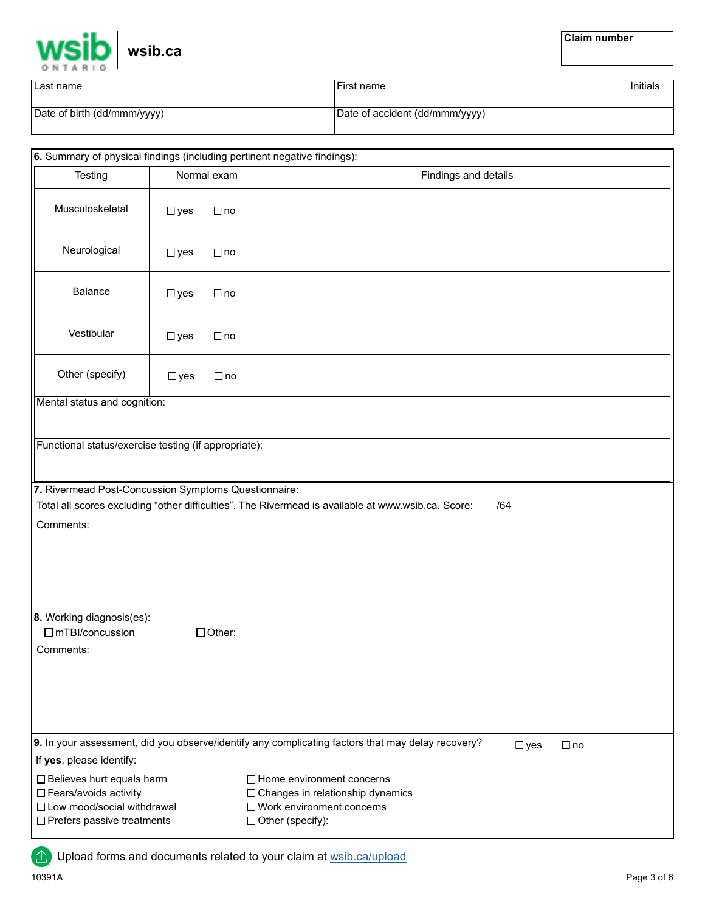

| Last name                   | First name                     | Initials |
|-----------------------------|--------------------------------|----------|
| Date of birth (dd/mmm/yyyy) | Date of accident (dd/mmm/yyyy) |          |

| 6. Summary of physical findings (including pertinent negative findings):                                                                                |                            |                                                                                                                                                                                                                                       |                            |  |  |  |  |
|---------------------------------------------------------------------------------------------------------------------------------------------------------|----------------------------|---------------------------------------------------------------------------------------------------------------------------------------------------------------------------------------------------------------------------------------|----------------------------|--|--|--|--|
| Testing                                                                                                                                                 | Normal exam                | Findings and details                                                                                                                                                                                                                  |                            |  |  |  |  |
| Musculoskeletal                                                                                                                                         | $\Box$ no<br>$\Box$ yes    |                                                                                                                                                                                                                                       |                            |  |  |  |  |
| Neurological                                                                                                                                            | $\square$ yes<br>$\Box$ no |                                                                                                                                                                                                                                       |                            |  |  |  |  |
| Balance                                                                                                                                                 | $\Box$ no<br>$\square$ yes |                                                                                                                                                                                                                                       |                            |  |  |  |  |
| Vestibular                                                                                                                                              | $\Box$ yes<br>$\Box$ no    |                                                                                                                                                                                                                                       |                            |  |  |  |  |
| Other (specify)                                                                                                                                         | $\Box$ no<br>$\Box$ yes    |                                                                                                                                                                                                                                       |                            |  |  |  |  |
| Mental status and cognition:                                                                                                                            |                            |                                                                                                                                                                                                                                       |                            |  |  |  |  |
| Functional status/exercise testing (if appropriate):                                                                                                    |                            |                                                                                                                                                                                                                                       |                            |  |  |  |  |
| 7. Rivermead Post-Concussion Symptoms Questionnaire:<br>Comments:                                                                                       |                            | Total all scores excluding "other difficulties". The Rivermead is available at www.wsib.ca. Score:                                                                                                                                    | /64                        |  |  |  |  |
| 8. Working diagnosis(es):<br>$\Box$ mTBI/concussion<br>Comments:                                                                                        | $\Box$ Other:              |                                                                                                                                                                                                                                       |                            |  |  |  |  |
| If yes, please identify:<br>□ Believes hurt equals harm<br>□ Fears/avoids activity<br>□ Low mood/social withdrawal<br>$\Box$ Prefers passive treatments |                            | 9. In your assessment, did you observe/identify any complicating factors that may delay recovery?<br>$\Box$ Home environment concerns<br>□ Changes in relationship dynamics<br>□ Work environment concerns<br>$\Box$ Other (specify): | $\square$ yes<br>$\Box$ no |  |  |  |  |

**1** Upload forms and documents related to your claim at [wsib.ca/upload](https://www.wsib.ca/en/upload)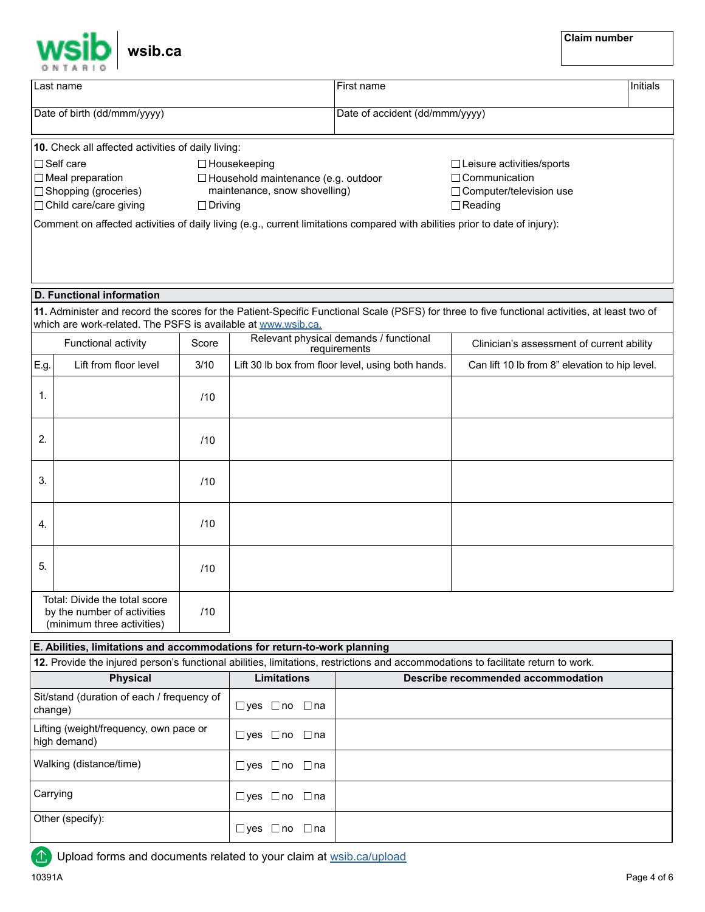

|                                                                                                                             | <b>UNTANIO</b>                                                                             |                |                                                                             |                                                                                                      |                                                                                                                                                |          |
|-----------------------------------------------------------------------------------------------------------------------------|--------------------------------------------------------------------------------------------|----------------|-----------------------------------------------------------------------------|------------------------------------------------------------------------------------------------------|------------------------------------------------------------------------------------------------------------------------------------------------|----------|
|                                                                                                                             | Last name                                                                                  |                |                                                                             | First name                                                                                           |                                                                                                                                                | Initials |
|                                                                                                                             | Date of birth (dd/mmm/yyyy)                                                                |                |                                                                             | Date of accident (dd/mmm/yyyy)                                                                       |                                                                                                                                                |          |
|                                                                                                                             | 10. Check all affected activities of daily living:                                         |                |                                                                             |                                                                                                      |                                                                                                                                                |          |
|                                                                                                                             | $\Box$ Self care                                                                           |                |                                                                             |                                                                                                      |                                                                                                                                                |          |
|                                                                                                                             |                                                                                            |                | $\Box$ Housekeeping                                                         | $\Box$ Leisure activities/sports                                                                     |                                                                                                                                                |          |
|                                                                                                                             | $\Box$ Meal preparation                                                                    |                | $\Box$ Household maintenance (e.g. outdoor<br>maintenance, snow shovelling) | $\Box$ Communication                                                                                 |                                                                                                                                                |          |
|                                                                                                                             | □ Shopping (groceries)                                                                     |                |                                                                             |                                                                                                      | □ Computer/television use                                                                                                                      |          |
|                                                                                                                             | □ Child care/care giving                                                                   | $\Box$ Driving |                                                                             |                                                                                                      | $\Box$ Reading                                                                                                                                 |          |
| Comment on affected activities of daily living (e.g., current limitations compared with abilities prior to date of injury): |                                                                                            |                |                                                                             |                                                                                                      |                                                                                                                                                |          |
|                                                                                                                             | <b>D. Functional information</b>                                                           |                |                                                                             |                                                                                                      |                                                                                                                                                |          |
|                                                                                                                             |                                                                                            |                |                                                                             |                                                                                                      | 11. Administer and record the scores for the Patient-Specific Functional Scale (PSFS) for three to five functional activities, at least two of |          |
|                                                                                                                             | which are work-related. The PSFS is available at www.wsib.ca.                              |                |                                                                             |                                                                                                      |                                                                                                                                                |          |
|                                                                                                                             | Functional activity                                                                        | Score          |                                                                             | Relevant physical demands / functional<br>requirements                                               | Clinician's assessment of current ability                                                                                                      |          |
| E.g.                                                                                                                        | Lift from floor level                                                                      | 3/10           |                                                                             | Lift 30 lb box from floor level, using both hands.<br>Can lift 10 lb from 8" elevation to hip level. |                                                                                                                                                |          |
| 1.                                                                                                                          |                                                                                            | /10            |                                                                             |                                                                                                      |                                                                                                                                                |          |
| 2.                                                                                                                          |                                                                                            | /10            |                                                                             |                                                                                                      |                                                                                                                                                |          |
| 3.                                                                                                                          |                                                                                            | /10            |                                                                             |                                                                                                      |                                                                                                                                                |          |
| 4.                                                                                                                          |                                                                                            | /10            |                                                                             |                                                                                                      |                                                                                                                                                |          |
| 5.                                                                                                                          |                                                                                            | /10            |                                                                             |                                                                                                      |                                                                                                                                                |          |
|                                                                                                                             | Total: Divide the total score<br>by the number of activities<br>(minimum three activities) | /10            |                                                                             |                                                                                                      |                                                                                                                                                |          |
|                                                                                                                             | E. Abilities, limitations and accommodations for return-to-work planning                   |                |                                                                             |                                                                                                      |                                                                                                                                                |          |
|                                                                                                                             |                                                                                            |                |                                                                             |                                                                                                      | 12. Provide the injured person's functional abilities, limitations, restrictions and accommodations to facilitate return to work.              |          |
|                                                                                                                             | <b>Physical</b>                                                                            |                | <b>Limitations</b>                                                          |                                                                                                      | Describe recommended accommodation                                                                                                             |          |

| <b>Physical</b>                                        | <b>Limitations</b>                      | Describe recommended accommodation |
|--------------------------------------------------------|-----------------------------------------|------------------------------------|
| Sit/stand (duration of each / frequency of<br>change)  | $\square$ yes $\square$ no $\square$ na |                                    |
| Lifting (weight/frequency, own pace or<br>high demand) | $\square$ yes $\square$ no $\square$ na |                                    |
| Walking (distance/time)                                | $\Box$ yes $\Box$ no $\Box$ na          |                                    |
| Carrying                                               | $\Box$ yes $\Box$ no $\Box$ na          |                                    |
| Other (specify):                                       | $\Box$ yes $\Box$ no<br>⊟ na            |                                    |

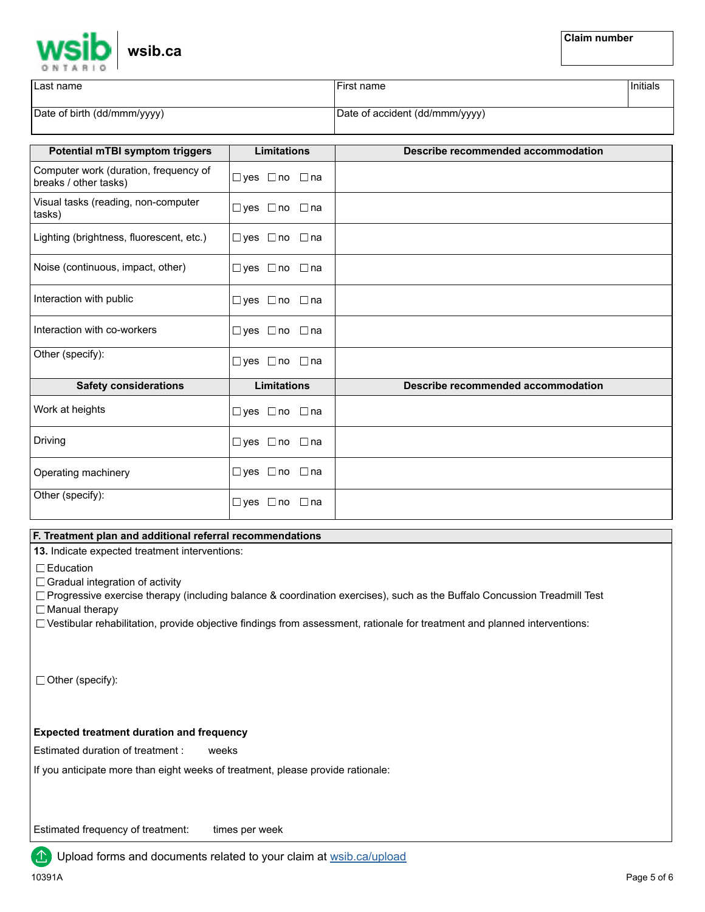| wsib.ca |
|---------|
|         |

| ∪Last name                  | First name                     | Initials |
|-----------------------------|--------------------------------|----------|
| Date of birth (dd/mmm/yyyy) | Date of accident (dd/mmm/yyyy) |          |

| <b>Potential mTBI symptom triggers</b>                         | <b>Limitations</b>             | Describe recommended accommodation |
|----------------------------------------------------------------|--------------------------------|------------------------------------|
| Computer work (duration, frequency of<br>breaks / other tasks) | $\Box$ ves $\Box$ no $\Box$ na |                                    |
| Visual tasks (reading, non-computer<br>tasks)                  | □yes □no □na                   |                                    |
| Lighting (brightness, fluorescent, etc.)                       | $\Box$ yes $\Box$ no $\Box$ na |                                    |
| Noise (continuous, impact, other)                              | $\Box$ yes $\Box$ no $\Box$ na |                                    |
| Interaction with public                                        | □yes □no □na                   |                                    |
| Interaction with co-workers                                    | $\Box$ yes $\Box$ no $\Box$ na |                                    |
| Other (specify):                                               | □yes □no □na                   |                                    |
| <b>Safety considerations</b>                                   | <b>Limitations</b>             | Describe recommended accommodation |
| Work at heights                                                | $\Box$ yes $\Box$ no $\Box$ na |                                    |
| Driving                                                        | $\Box$ yes $\Box$ no $\Box$ na |                                    |
| Operating machinery                                            | $\Box$ yes $\Box$ no $\Box$ na |                                    |
| Other (specify):                                               | $\Box$ yes $\Box$ no<br>⊡na    |                                    |

## **F. Treatment plan and additional referral recommendations**

**13.** Indicate expected treatment interventions:

□ Education

 $\Box$  Gradual integration of activity

 $\Box$  Progressive exercise therapy (including balance & coordination exercises), such as the Buffalo Concussion Treadmill Test □ Manual therapy

Vestibular rehabilitation, provide objective findings from assessment, rationale for treatment and planned interventions:

Other (specify):

## **Expected treatment duration and frequency**

Estimated duration of treatment : weeks

If you anticipate more than eight weeks of treatment, please provide rationale:

Estimated frequency of treatment: times per week

Upload forms and documents related to your claim at [wsib.ca/upload](https://www.wsib.ca/en/upload)

⚠